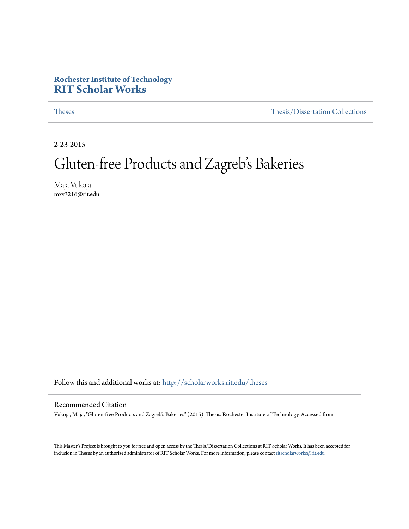## **Rochester Institute of Technology [RIT Scholar Works](http://scholarworks.rit.edu?utm_source=scholarworks.rit.edu%2Ftheses%2F9371&utm_medium=PDF&utm_campaign=PDFCoverPages)**

[Theses](http://scholarworks.rit.edu/theses?utm_source=scholarworks.rit.edu%2Ftheses%2F9371&utm_medium=PDF&utm_campaign=PDFCoverPages) [Thesis/Dissertation Collections](http://scholarworks.rit.edu/etd_collections?utm_source=scholarworks.rit.edu%2Ftheses%2F9371&utm_medium=PDF&utm_campaign=PDFCoverPages)

2-23-2015

## Gluten-free Products and Zagreb's Bakeries

Maja Vukoja mxv3216@rit.edu

Follow this and additional works at: [http://scholarworks.rit.edu/theses](http://scholarworks.rit.edu/theses?utm_source=scholarworks.rit.edu%2Ftheses%2F9371&utm_medium=PDF&utm_campaign=PDFCoverPages)

#### Recommended Citation

Vukoja, Maja, "Gluten-free Products and Zagreb's Bakeries" (2015). Thesis. Rochester Institute of Technology. Accessed from

This Master's Project is brought to you for free and open access by the Thesis/Dissertation Collections at RIT Scholar Works. It has been accepted for inclusion in Theses by an authorized administrator of RIT Scholar Works. For more information, please contact [ritscholarworks@rit.edu](mailto:ritscholarworks@rit.edu).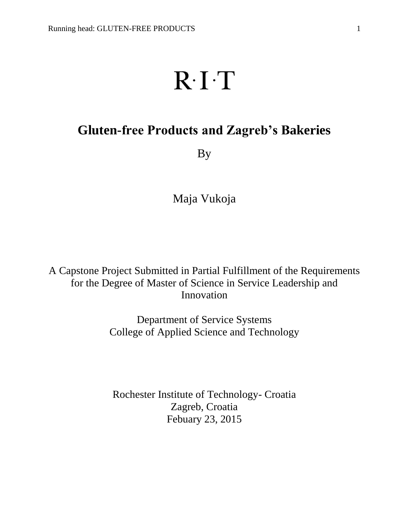# $R \cdot I \cdot T$

## **Gluten-free Products and Zagreb's Bakeries**

By

Maja Vukoja

A Capstone Project Submitted in Partial Fulfillment of the Requirements for the Degree of Master of Science in Service Leadership and Innovation

> Department of Service Systems College of Applied Science and Technology

Rochester Institute of Technology- Croatia Zagreb, Croatia Febuary 23, 2015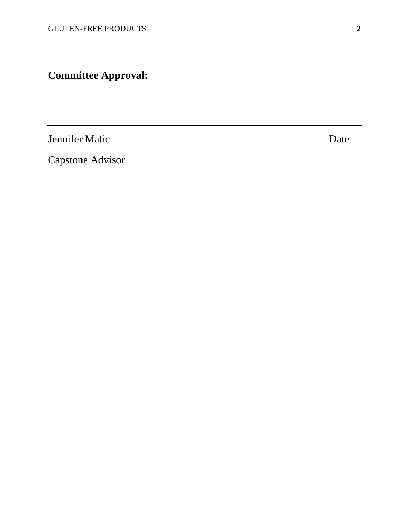**Committee Approval:**

Jennifer Matic Date

Capstone Advisor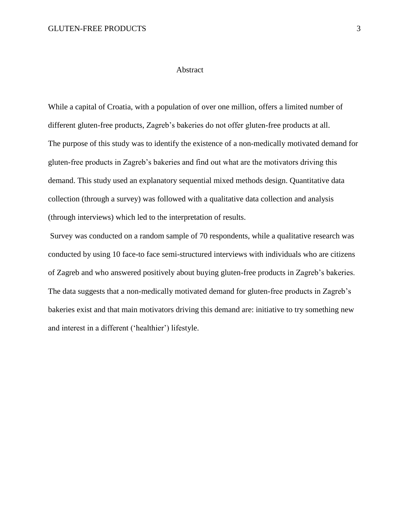#### Abstract

While a capital of Croatia, with a population of over one million, offers a limited number of different gluten-free products, Zagreb's bakeries do not offer gluten-free products at all. The purpose of this study was to identify the existence of a non-medically motivated demand for gluten-free products in Zagreb's bakeries and find out what are the motivators driving this demand. This study used an explanatory sequential mixed methods design. Quantitative data collection (through a survey) was followed with a qualitative data collection and analysis (through interviews) which led to the interpretation of results.

Survey was conducted on a random sample of 70 respondents, while a qualitative research was conducted by using 10 face-to face semi-structured interviews with individuals who are citizens of Zagreb and who answered positively about buying gluten-free products in Zagreb's bakeries. The data suggests that a non-medically motivated demand for gluten-free products in Zagreb's bakeries exist and that main motivators driving this demand are: initiative to try something new and interest in a different ('healthier') lifestyle.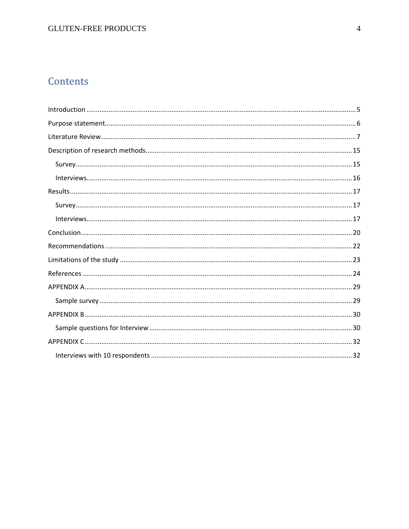## Contents

<span id="page-4-0"></span>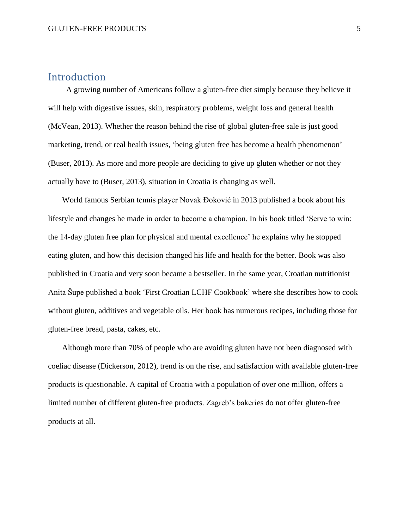#### Introduction

 A growing number of Americans follow a gluten-free diet simply because they believe it will help with digestive issues, skin, respiratory problems, weight loss and general health (McVean, 2013). Whether the reason behind the rise of global gluten-free sale is just good marketing, trend, or real health issues, 'being gluten free has become a health phenomenon' (Buser, 2013). As more and more people are deciding to give up gluten whether or not they actually have to (Buser, 2013), situation in Croatia is changing as well.

 World famous Serbian tennis player Novak Đoković in 2013 published a book about his lifestyle and changes he made in order to become a champion. In his book titled 'Serve to win: the 14-day gluten free plan for physical and mental excellence' he explains why he stopped eating gluten, and how this decision changed his life and health for the better. Book was also published in Croatia and very soon became a bestseller. In the same year, Croatian nutritionist Anita Šupe published a book 'First Croatian LCHF Cookbook' where she describes how to cook without gluten, additives and vegetable oils. Her book has numerous recipes, including those for gluten-free bread, pasta, cakes, etc.

 Although more than 70% of people who are avoiding gluten have not been diagnosed with coeliac disease (Dickerson, 2012), trend is on the rise, and satisfaction with available gluten-free products is questionable. A capital of Croatia with a population of over one million, offers a limited number of different gluten-free products. Zagreb's bakeries do not offer gluten-free products at all.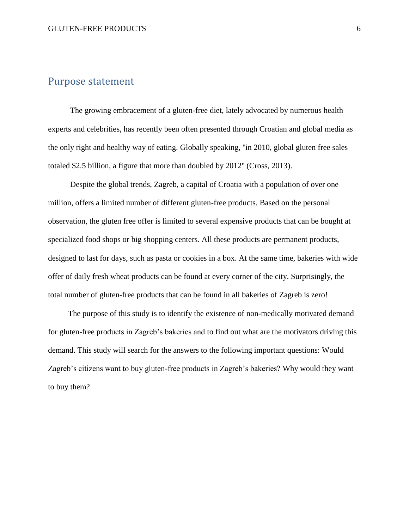## <span id="page-6-0"></span>Purpose statement

 The growing embracement of a gluten-free diet, lately advocated by numerous health experts and celebrities, has recently been often presented through Croatian and global media as the only right and healthy way of eating. Globally speaking, ''in 2010, global gluten free sales totaled \$2.5 billion, a figure that more than doubled by 2012'' (Cross, 2013).

 Despite the global trends, Zagreb, a capital of Croatia with a population of over one million, offers a limited number of different gluten-free products. Based on the personal observation, the gluten free offer is limited to several expensive products that can be bought at specialized food shops or big shopping centers. All these products are permanent products, designed to last for days, such as pasta or cookies in a box. At the same time, bakeries with wide offer of daily fresh wheat products can be found at every corner of the city. Surprisingly, the total number of gluten-free products that can be found in all bakeries of Zagreb is zero!

 The purpose of this study is to identify the existence of non-medically motivated demand for gluten-free products in Zagreb's bakeries and to find out what are the motivators driving this demand. This study will search for the answers to the following important questions: Would Zagreb's citizens want to buy gluten-free products in Zagreb's bakeries? Why would they want to buy them?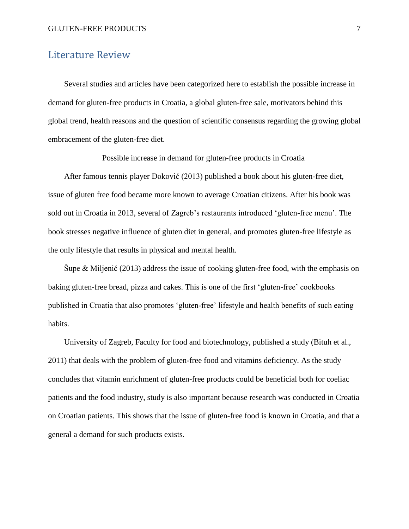## <span id="page-7-0"></span>Literature Review

 Several studies and articles have been categorized here to establish the possible increase in demand for gluten-free products in Croatia, a global gluten-free sale, motivators behind this global trend, health reasons and the question of scientific consensus regarding the growing global embracement of the gluten-free diet.

Possible increase in demand for gluten-free products in Croatia

 After famous tennis player Đoković (2013) published a book about his gluten-free diet, issue of gluten free food became more known to average Croatian citizens. After his book was sold out in Croatia in 2013, several of Zagreb's restaurants introduced 'gluten-free menu'. The book stresses negative influence of gluten diet in general, and promotes gluten-free lifestyle as the only lifestyle that results in physical and mental health.

Supe & Miljenić (2013) address the issue of cooking gluten-free food, with the emphasis on baking gluten-free bread, pizza and cakes. This is one of the first 'gluten-free' cookbooks published in Croatia that also promotes 'gluten-free' lifestyle and health benefits of such eating habits.

 University of Zagreb, Faculty for food and biotechnology, published a study (Bituh et al., 2011) that deals with the problem of gluten-free food and vitamins deficiency. As the study concludes that vitamin enrichment of gluten-free products could be beneficial both for coeliac patients and the food industry, study is also important because research was conducted in Croatia on Croatian patients. This shows that the issue of gluten-free food is known in Croatia, and that a general a demand for such products exists.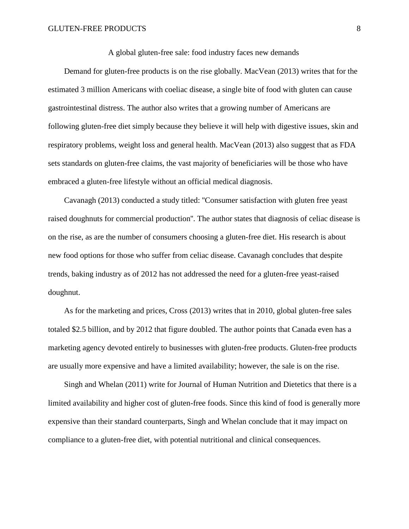A global gluten-free sale: food industry faces new demands

 Demand for gluten-free products is on the rise globally. MacVean (2013) writes that for the estimated 3 million Americans with coeliac disease, a single bite of food with gluten can cause gastrointestinal distress. The author also writes that a growing number of Americans are following gluten-free diet simply because they believe it will help with digestive issues, skin and respiratory problems, weight loss and general health. MacVean (2013) also suggest that as FDA sets standards on gluten-free claims, the vast majority of beneficiaries will be those who have embraced a gluten-free lifestyle without an official medical diagnosis.

 Cavanagh (2013) conducted a study titled: ''Consumer satisfaction with gluten free yeast raised doughnuts for commercial production''. The author states that diagnosis of celiac disease is on the rise, as are the number of consumers choosing a gluten-free diet. His research is about new food options for those who suffer from celiac disease. Cavanagh concludes that despite trends, baking industry as of 2012 has not addressed the need for a gluten-free yeast-raised doughnut.

 As for the marketing and prices, Cross (2013) writes that in 2010, global gluten-free sales totaled \$2.5 billion, and by 2012 that figure doubled. The author points that Canada even has a marketing agency devoted entirely to businesses with gluten-free products. Gluten-free products are usually more expensive and have a limited availability; however, the sale is on the rise.

 Singh and Whelan (2011) write for Journal of Human Nutrition and Dietetics that there is a limited availability and higher cost of gluten-free foods. Since this kind of food is generally more expensive than their standard counterparts, Singh and Whelan conclude that it may impact on compliance to a gluten-free diet, with potential nutritional and clinical consequences.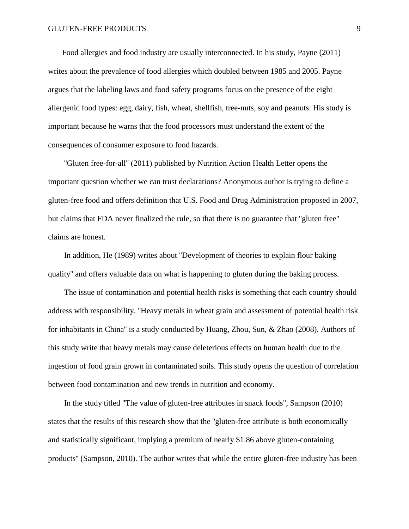Food allergies and food industry are usually interconnected. In his study, Payne (2011) writes about the prevalence of food allergies which doubled between 1985 and 2005. Payne argues that the labeling laws and food safety programs focus on the presence of the eight allergenic food types: egg, dairy, fish, wheat, shellfish, tree-nuts, soy and peanuts. His study is important because he warns that the food processors must understand the extent of the consequences of consumer exposure to food hazards.

 ''Gluten free-for-all'' (2011) published by Nutrition Action Health Letter opens the important question whether we can trust declarations? Anonymous author is trying to define a gluten-free food and offers definition that U.S. Food and Drug Administration proposed in 2007, but claims that FDA never finalized the rule, so that there is no guarantee that ''gluten free'' claims are honest.

 In addition, He (1989) writes about ''Development of theories to explain flour baking quality'' and offers valuable data on what is happening to gluten during the baking process.

 The issue of contamination and potential health risks is something that each country should address with responsibility. ''Heavy metals in wheat grain and assessment of potential health risk for inhabitants in China'' is a study conducted by Huang, Zhou, Sun, & Zhao (2008). Authors of this study write that heavy metals may cause deleterious effects on human health due to the ingestion of food grain grown in contaminated soils. This study opens the question of correlation between food contamination and new trends in nutrition and economy.

 In the study titled ''The value of gluten-free attributes in snack foods'', Sampson (2010) states that the results of this research show that the ''gluten-free attribute is both economically and statistically significant, implying a premium of nearly \$1.86 above gluten-containing products'' (Sampson, 2010). The author writes that while the entire gluten-free industry has been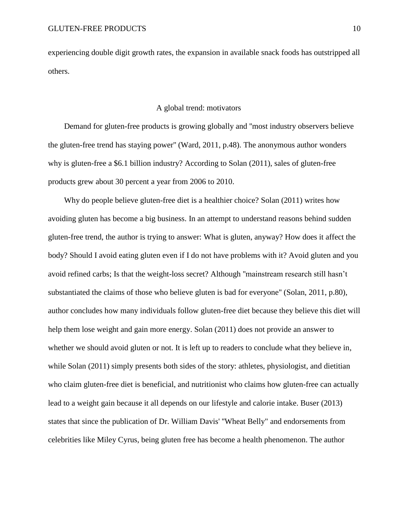experiencing double digit growth rates, the expansion in available snack foods has outstripped all others.

#### A global trend: motivators

 Demand for gluten-free products is growing globally and ''most industry observers believe the gluten-free trend has staying power'' (Ward, 2011, p.48). The anonymous author wonders why is gluten-free a \$6.1 billion industry? According to Solan (2011), sales of gluten-free products grew about 30 percent a year from 2006 to 2010.

 Why do people believe gluten-free diet is a healthier choice? Solan (2011) writes how avoiding gluten has become a big business. In an attempt to understand reasons behind sudden gluten-free trend, the author is trying to answer: What is gluten, anyway? How does it affect the body? Should I avoid eating gluten even if I do not have problems with it? Avoid gluten and you avoid refined carbs; Is that the weight-loss secret? Although ''mainstream research still hasn't substantiated the claims of those who believe gluten is bad for everyone'' (Solan, 2011, p.80), author concludes how many individuals follow gluten-free diet because they believe this diet will help them lose weight and gain more energy. Solan (2011) does not provide an answer to whether we should avoid gluten or not. It is left up to readers to conclude what they believe in, while Solan (2011) simply presents both sides of the story: athletes, physiologist, and dietitian who claim gluten-free diet is beneficial, and nutritionist who claims how gluten-free can actually lead to a weight gain because it all depends on our lifestyle and calorie intake. Buser (2013) states that since the publication of Dr. William Davis' ''Wheat Belly" and endorsements from celebrities like Miley Cyrus, being gluten free has become a health phenomenon. The author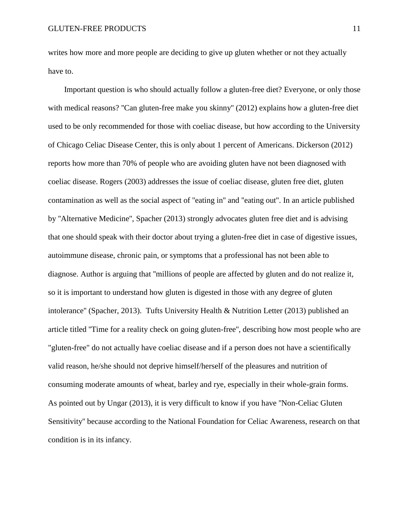writes how more and more people are deciding to give up gluten whether or not they actually have to.

 Important question is who should actually follow a gluten-free diet? Everyone, or only those with medical reasons? "Can gluten-free make you skinny" (2012) explains how a gluten-free diet used to be only recommended for those with coeliac disease, but how according to the University of Chicago Celiac Disease Center, this is only about 1 percent of Americans. Dickerson (2012) reports how more than 70% of people who are avoiding gluten have not been diagnosed with coeliac disease. Rogers (2003) addresses the issue of coeliac disease, gluten free diet, gluten contamination as well as the social aspect of ''eating in'' and ''eating out''. In an article published by ''Alternative Medicine'', Spacher (2013) strongly advocates gluten free diet and is advising that one should speak with their doctor about trying a gluten-free diet in case of digestive issues, autoimmune disease, chronic pain, or symptoms that a professional has not been able to diagnose. Author is arguing that ''millions of people are affected by gluten and do not realize it, so it is important to understand how gluten is digested in those with any degree of gluten intolerance'' (Spacher, 2013). Tufts University Health & Nutrition Letter (2013) published an article titled ''Time for a reality check on going gluten-free'', describing how most people who are "gluten-free" do not actually have coeliac disease and if a person does not have a scientifically valid reason, he/she should not deprive himself/herself of the pleasures and nutrition of consuming moderate amounts of wheat, barley and rye, especially in their whole-grain forms. As pointed out by Ungar (2013), it is very difficult to know if you have ''Non-Celiac Gluten Sensitivity'' because according to the National Foundation for Celiac Awareness, research on that condition is in its infancy.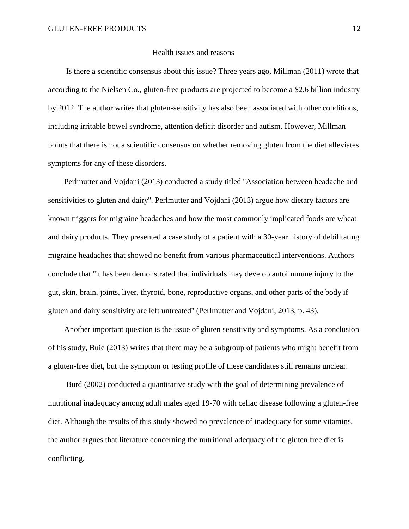#### Health issues and reasons

 Is there a scientific consensus about this issue? Three years ago, Millman (2011) wrote that according to the Nielsen Co., gluten-free products are projected to become a \$2.6 billion industry by 2012. The author writes that gluten-sensitivity has also been associated with other conditions, including irritable bowel syndrome, attention deficit disorder and autism. However, Millman points that there is not a scientific consensus on whether removing gluten from the diet alleviates symptoms for any of these disorders.

 Perlmutter and Vojdani (2013) conducted a study titled ''Association between headache and sensitivities to gluten and dairy''. Perlmutter and Vojdani (2013) argue how dietary factors are known triggers for migraine headaches and how the most commonly implicated foods are wheat and dairy products. They presented a case study of a patient with a 30-year history of debilitating migraine headaches that showed no benefit from various pharmaceutical interventions. Authors conclude that ''it has been demonstrated that individuals may develop autoimmune injury to the gut, skin, brain, joints, liver, thyroid, bone, reproductive organs, and other parts of the body if gluten and dairy sensitivity are left untreated'' (Perlmutter and Vojdani, 2013, p. 43).

 Another important question is the issue of gluten sensitivity and symptoms. As a conclusion of his study, Buie (2013) writes that there may be a subgroup of patients who might benefit from a gluten-free diet, but the symptom or testing profile of these candidates still remains unclear.

 Burd (2002) conducted a quantitative study with the goal of determining prevalence of nutritional inadequacy among adult males aged 19-70 with celiac disease following a gluten-free diet. Although the results of this study showed no prevalence of inadequacy for some vitamins, the author argues that literature concerning the nutritional adequacy of the gluten free diet is conflicting.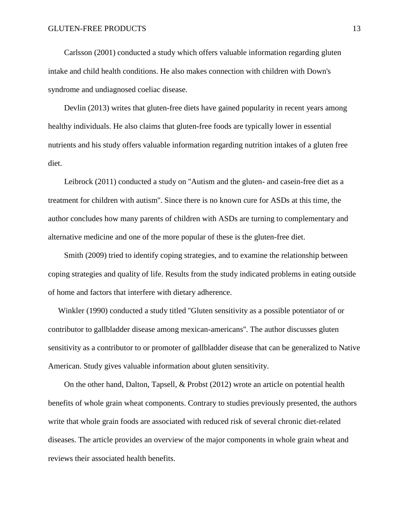Carlsson (2001) conducted a study which offers valuable information regarding gluten intake and child health conditions. He also makes connection with children with Down's syndrome and undiagnosed coeliac disease.

 Devlin (2013) writes that gluten-free diets have gained popularity in recent years among healthy individuals. He also claims that gluten-free foods are typically lower in essential nutrients and his study offers valuable information regarding nutrition intakes of a gluten free diet.

 Leibrock (2011) conducted a study on ''Autism and the gluten- and casein-free diet as a treatment for children with autism''. Since there is no known cure for ASDs at this time, the author concludes how many parents of children with ASDs are turning to complementary and alternative medicine and one of the more popular of these is the gluten-free diet.

 Smith (2009) tried to identify coping strategies, and to examine the relationship between coping strategies and quality of life. Results from the study indicated problems in eating outside of home and factors that interfere with dietary adherence.

 Winkler (1990) conducted a study titled ''Gluten sensitivity as a possible potentiator of or contributor to gallbladder disease among mexican-americans''. The author discusses gluten sensitivity as a contributor to or promoter of gallbladder disease that can be generalized to Native American. Study gives valuable information about gluten sensitivity.

 On the other hand, Dalton, Tapsell, & Probst (2012) wrote an article on potential health benefits of whole grain wheat components. Contrary to studies previously presented, the authors write that whole grain foods are associated with reduced risk of several chronic diet-related diseases. The article provides an overview of the major components in whole grain wheat and reviews their associated health benefits.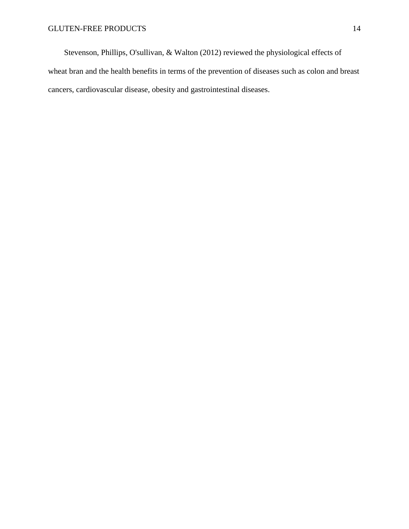Stevenson, Phillips, O'sullivan, & Walton (2012) reviewed the physiological effects of wheat bran and the health benefits in terms of the prevention of diseases such as colon and breast cancers, cardiovascular disease, obesity and gastrointestinal diseases.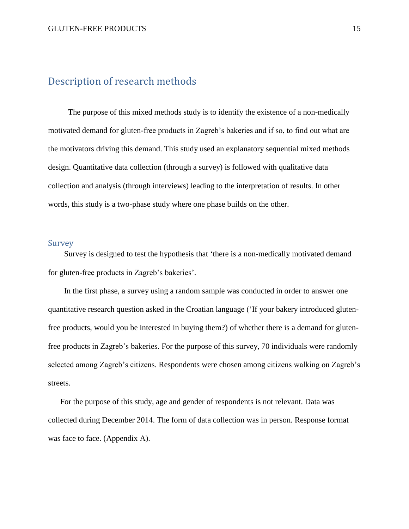## <span id="page-15-0"></span>Description of research methods

 The purpose of this mixed methods study is to identify the existence of a non-medically motivated demand for gluten-free products in Zagreb's bakeries and if so, to find out what are the motivators driving this demand. This study used an explanatory sequential mixed methods design. Quantitative data collection (through a survey) is followed with qualitative data collection and analysis (through interviews) leading to the interpretation of results. In other words, this study is a two-phase study where one phase builds on the other.

#### <span id="page-15-1"></span>Survey

 Survey is designed to test the hypothesis that 'there is a non-medically motivated demand for gluten-free products in Zagreb's bakeries'.

 In the first phase, a survey using a random sample was conducted in order to answer one quantitative research question asked in the Croatian language ('If your bakery introduced glutenfree products, would you be interested in buying them?) of whether there is a demand for glutenfree products in Zagreb's bakeries. For the purpose of this survey, 70 individuals were randomly selected among Zagreb's citizens. Respondents were chosen among citizens walking on Zagreb's streets.

 For the purpose of this study, age and gender of respondents is not relevant. Data was collected during December 2014. The form of data collection was in person. Response format was face to face. (Appendix A).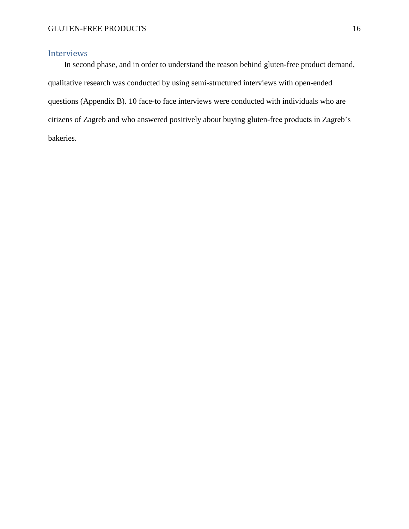#### <span id="page-16-0"></span>Interviews

 In second phase, and in order to understand the reason behind gluten-free product demand, qualitative research was conducted by using semi-structured interviews with open-ended questions (Appendix B). 10 face-to face interviews were conducted with individuals who are citizens of Zagreb and who answered positively about buying gluten-free products in Zagreb's bakeries.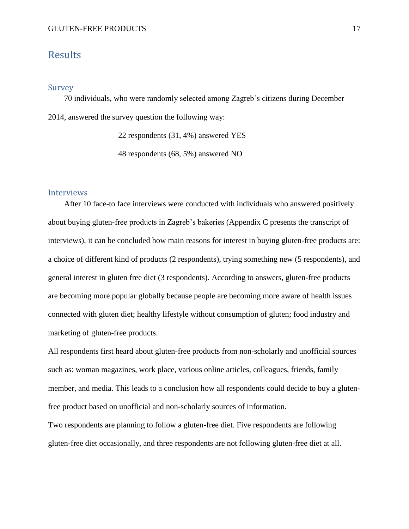## <span id="page-17-0"></span>Results

#### <span id="page-17-1"></span>Survey

 70 individuals, who were randomly selected among Zagreb's citizens during December 2014, answered the survey question the following way:

22 respondents (31, 4%) answered YES

48 respondents (68, 5%) answered NO

#### <span id="page-17-2"></span>Interviews

 After 10 face-to face interviews were conducted with individuals who answered positively about buying gluten-free products in Zagreb's bakeries (Appendix C presents the transcript of interviews), it can be concluded how main reasons for interest in buying gluten-free products are: a choice of different kind of products (2 respondents), trying something new (5 respondents), and general interest in gluten free diet (3 respondents). According to answers, gluten-free products are becoming more popular globally because people are becoming more aware of health issues connected with gluten diet; healthy lifestyle without consumption of gluten; food industry and marketing of gluten-free products.

All respondents first heard about gluten-free products from non-scholarly and unofficial sources such as: woman magazines, work place, various online articles, colleagues, friends, family member, and media. This leads to a conclusion how all respondents could decide to buy a glutenfree product based on unofficial and non-scholarly sources of information.

Two respondents are planning to follow a gluten-free diet. Five respondents are following gluten-free diet occasionally, and three respondents are not following gluten-free diet at all.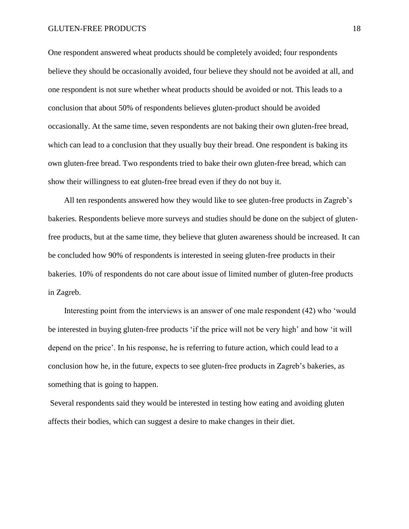One respondent answered wheat products should be completely avoided; four respondents believe they should be occasionally avoided, four believe they should not be avoided at all, and one respondent is not sure whether wheat products should be avoided or not. This leads to a conclusion that about 50% of respondents believes gluten-product should be avoided occasionally. At the same time, seven respondents are not baking their own gluten-free bread, which can lead to a conclusion that they usually buy their bread. One respondent is baking its own gluten-free bread. Two respondents tried to bake their own gluten-free bread, which can show their willingness to eat gluten-free bread even if they do not buy it.

 All ten respondents answered how they would like to see gluten-free products in Zagreb's bakeries. Respondents believe more surveys and studies should be done on the subject of glutenfree products, but at the same time, they believe that gluten awareness should be increased. It can be concluded how 90% of respondents is interested in seeing gluten-free products in their bakeries. 10% of respondents do not care about issue of limited number of gluten-free products in Zagreb.

 Interesting point from the interviews is an answer of one male respondent (42) who 'would be interested in buying gluten-free products 'if the price will not be very high' and how 'it will depend on the price'. In his response, he is referring to future action, which could lead to a conclusion how he, in the future, expects to see gluten-free products in Zagreb's bakeries, as something that is going to happen.

Several respondents said they would be interested in testing how eating and avoiding gluten affects their bodies, which can suggest a desire to make changes in their diet.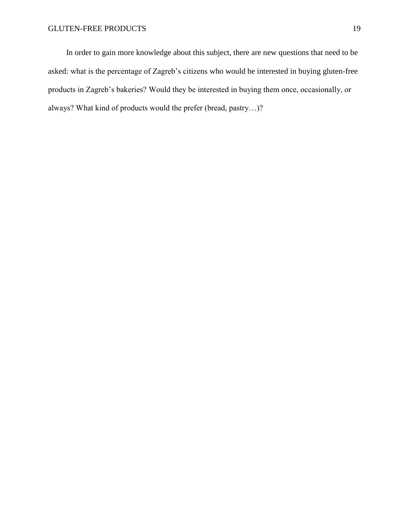In order to gain more knowledge about this subject, there are new questions that need to be asked: what is the percentage of Zagreb's citizens who would be interested in buying gluten-free products in Zagreb's bakeries? Would they be interested in buying them once, occasionally, or always? What kind of products would the prefer (bread, pastry…)?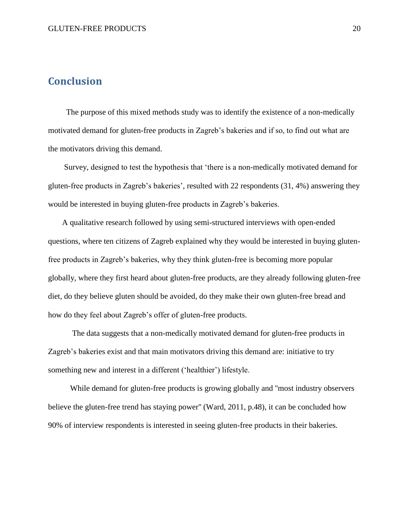## <span id="page-20-0"></span>**Conclusion**

 The purpose of this mixed methods study was to identify the existence of a non-medically motivated demand for gluten-free products in Zagreb's bakeries and if so, to find out what are the motivators driving this demand.

 Survey, designed to test the hypothesis that 'there is a non-medically motivated demand for gluten-free products in Zagreb's bakeries', resulted with 22 respondents (31, 4%) answering they would be interested in buying gluten-free products in Zagreb's bakeries.

 A qualitative research followed by using semi-structured interviews with open-ended questions, where ten citizens of Zagreb explained why they would be interested in buying glutenfree products in Zagreb's bakeries, why they think gluten-free is becoming more popular globally, where they first heard about gluten-free products, are they already following gluten-free diet, do they believe gluten should be avoided, do they make their own gluten-free bread and how do they feel about Zagreb's offer of gluten-free products.

 The data suggests that a non-medically motivated demand for gluten-free products in Zagreb's bakeries exist and that main motivators driving this demand are: initiative to try something new and interest in a different ('healthier') lifestyle.

 While demand for gluten-free products is growing globally and ''most industry observers believe the gluten-free trend has staying power'' (Ward, 2011, p.48), it can be concluded how 90% of interview respondents is interested in seeing gluten-free products in their bakeries.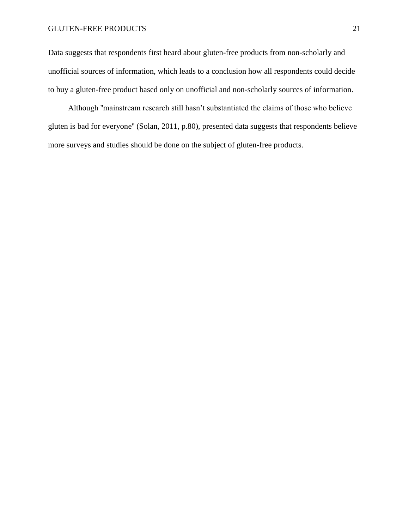Data suggests that respondents first heard about gluten-free products from non-scholarly and unofficial sources of information, which leads to a conclusion how all respondents could decide to buy a gluten-free product based only on unofficial and non-scholarly sources of information.

 Although ''mainstream research still hasn't substantiated the claims of those who believe gluten is bad for everyone'' (Solan, 2011, p.80), presented data suggests that respondents believe more surveys and studies should be done on the subject of gluten-free products.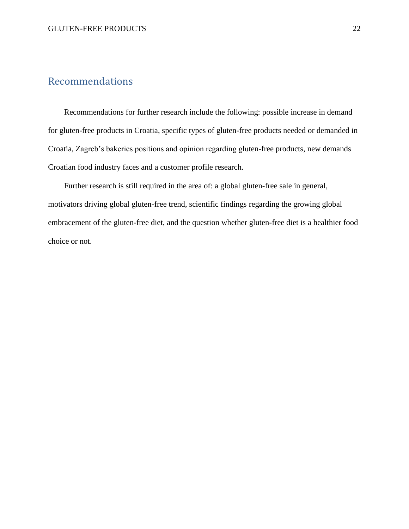## <span id="page-22-0"></span>Recommendations

 Recommendations for further research include the following: possible increase in demand for gluten-free products in Croatia, specific types of gluten-free products needed or demanded in Croatia, Zagreb's bakeries positions and opinion regarding gluten-free products, new demands Croatian food industry faces and a customer profile research.

 Further research is still required in the area of: a global gluten-free sale in general, motivators driving global gluten-free trend, scientific findings regarding the growing global embracement of the gluten-free diet, and the question whether gluten-free diet is a healthier food choice or not.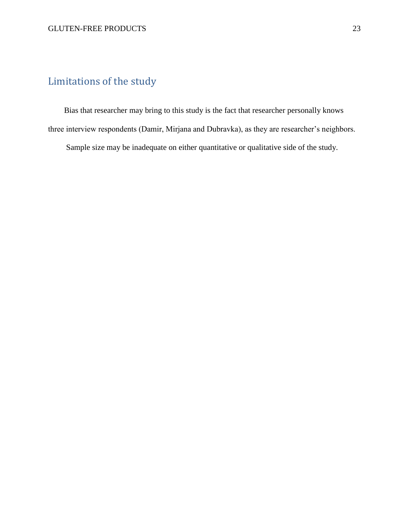## <span id="page-23-0"></span>Limitations of the study

 Bias that researcher may bring to this study is the fact that researcher personally knows three interview respondents (Damir, Mirjana and Dubravka), as they are researcher's neighbors.

Sample size may be inadequate on either quantitative or qualitative side of the study.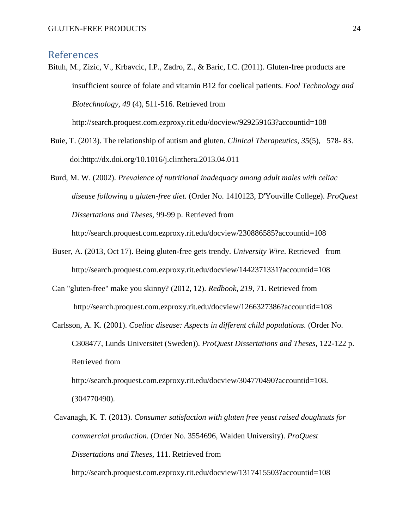#### <span id="page-24-0"></span>References

Bituh, M., Zizic, V., Krbavcic, I.P., Zadro, Z., & Baric, I.C. (2011). Gluten-free products are insufficient source of folate and vitamin B12 for coelical patients. *Fool Technology and Biotechnology, 49* (4), 511-516. Retrieved from

http://search.proquest.com.ezproxy.rit.edu/docview/929259163?accountid=108

- Buie, T. (2013). The relationship of autism and gluten. *Clinical Therapeutics, 35*(5), 578- 83. doi:http://dx.doi.org/10.1016/j.clinthera.2013.04.011
- Burd, M. W. (2002). *Prevalence of nutritional inadequacy among adult males with celiac disease following a gluten-free diet.* (Order No. 1410123, D'Youville College). *ProQuest Dissertations and Theses,* 99-99 p. Retrieved from

http://search.proquest.com.ezproxy.rit.edu/docview/230886585?accountid=108

- Buser, A. (2013, Oct 17). Being gluten-free gets trendy. *University Wire*. Retrieved from http://search.proquest.com.ezproxy.rit.edu/docview/1442371331?accountid=108
- Can "gluten-free" make you skinny? (2012, 12). *Redbook, 219*, 71. Retrieved from http://search.proquest.com.ezproxy.rit.edu/docview/1266327386?accountid=108
- Carlsson, A. K. (2001). *Coeliac disease: Aspects in different child populations.* (Order No. C808477, Lunds Universitet (Sweden)). *ProQuest Dissertations and Theses,* 122-122 p. Retrieved from http://search.proquest.com.ezproxy.rit.edu/docview/304770490?accountid=108.

(304770490).

Cavanagh, K. T. (2013). *Consumer satisfaction with gluten free yeast raised doughnuts for commercial production.* (Order No. 3554696, Walden University). *ProQuest Dissertations and Theses,* 111. Retrieved from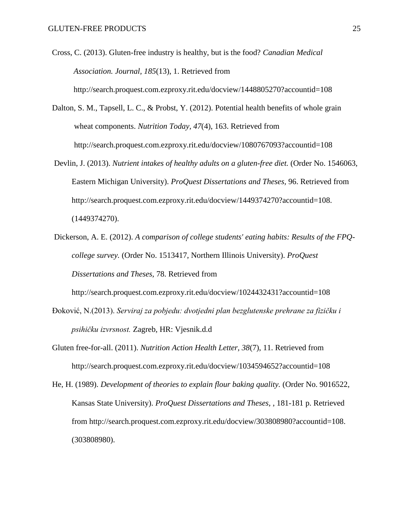Cross, C. (2013). Gluten-free industry is healthy, but is the food? *Canadian Medical Association. Journal, 185*(13), 1. Retrieved from http://search.proquest.com.ezproxy.rit.edu/docview/1448805270?accountid=108

- Dalton, S. M., Tapsell, L. C., & Probst, Y. (2012). Potential health benefits of whole grain wheat components. *Nutrition Today, 47*(4), 163. Retrieved from http://search.proquest.com.ezproxy.rit.edu/docview/1080767093?accountid=108
- Devlin, J. (2013). *Nutrient intakes of healthy adults on a gluten-free diet.* (Order No. 1546063, Eastern Michigan University). *ProQuest Dissertations and Theses,* 96. Retrieved from http://search.proquest.com.ezproxy.rit.edu/docview/1449374270?accountid=108. (1449374270).
- Dickerson, A. E. (2012). *A comparison of college students' eating habits: Results of the FPQcollege survey.* (Order No. 1513417, Northern Illinois University). *ProQuest Dissertations and Theses,* 78. Retrieved from

http://search.proquest.com.ezproxy.rit.edu/docview/1024432431?accountid=108

- Đoković, N.(2013). *Serviraj za pobjedu: dvotjedni plan bezglutenske prehrane za fizičku i psihičku izvrsnost.* Zagreb, HR: Vjesnik.d.d
- Gluten free-for-all. (2011). *Nutrition Action Health Letter, 38*(7), 11. Retrieved from http://search.proquest.com.ezproxy.rit.edu/docview/1034594652?accountid=108

He, H. (1989). *Development of theories to explain flour baking quality.* (Order No. 9016522, Kansas State University). *ProQuest Dissertations and Theses,* , 181-181 p. Retrieved from http://search.proquest.com.ezproxy.rit.edu/docview/303808980?accountid=108. (303808980).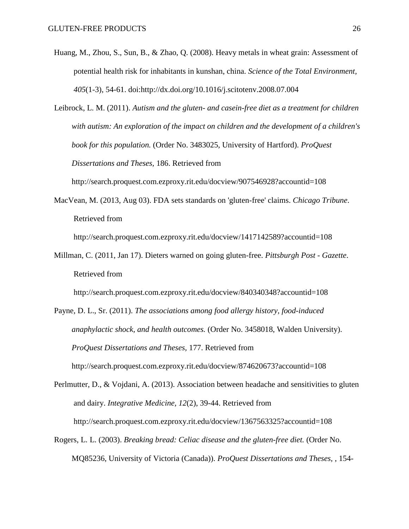- Huang, M., Zhou, S., Sun, B., & Zhao, Q. (2008). Heavy metals in wheat grain: Assessment of potential health risk for inhabitants in kunshan, china. *Science of the Total Environment, 405*(1-3), 54-61. doi:http://dx.doi.org/10.1016/j.scitotenv.2008.07.004
- Leibrock, L. M. (2011). *Autism and the gluten- and casein-free diet as a treatment for children with autism: An exploration of the impact on children and the development of a children's book for this population.* (Order No. 3483025, University of Hartford). *ProQuest Dissertations and Theses,* 186. Retrieved from

http://search.proquest.com.ezproxy.rit.edu/docview/907546928?accountid=108

MacVean, M. (2013, Aug 03). FDA sets standards on 'gluten-free' claims. *Chicago Tribune*. Retrieved from

http://search.proquest.com.ezproxy.rit.edu/docview/1417142589?accountid=108

Millman, C. (2011, Jan 17). Dieters warned on going gluten-free. *Pittsburgh Post - Gazette*. Retrieved from

http://search.proquest.com.ezproxy.rit.edu/docview/840340348?accountid=108

 Payne, D. L., Sr. (2011). *The associations among food allergy history, food-induced anaphylactic shock, and health outcomes.* (Order No. 3458018, Walden University). *ProQuest Dissertations and Theses,* 177. Retrieved from http://search.proquest.com.ezproxy.rit.edu/docview/874620673?accountid=108

Perlmutter, D., & Vojdani, A. (2013). Association between headache and sensitivities to gluten and dairy. *Integrative Medicine, 12*(2), 39-44. Retrieved from http://search.proquest.com.ezproxy.rit.edu/docview/1367563325?accountid=108

 Rogers, L. L. (2003). *Breaking bread: Celiac disease and the gluten-free diet.* (Order No. MQ85236, University of Victoria (Canada)). *ProQuest Dissertations and Theses,* , 154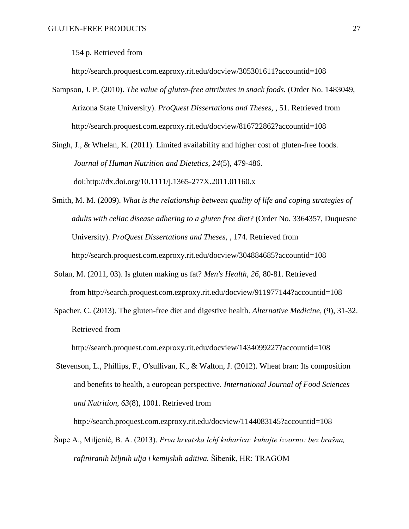154 p. Retrieved from

http://search.proquest.com.ezproxy.rit.edu/docview/305301611?accountid=108

 Sampson, J. P. (2010). *The value of gluten-free attributes in snack foods.* (Order No. 1483049, Arizona State University). *ProQuest Dissertations and Theses,* , 51. Retrieved from http://search.proquest.com.ezproxy.rit.edu/docview/816722862?accountid=108

Singh, J., & Whelan, K. (2011). Limited availability and higher cost of gluten-free foods. *Journal of Human Nutrition and Dietetics, 24*(5), 479-486. doi:http://dx.doi.org/10.1111/j.1365-277X.2011.01160.x

- Smith, M. M. (2009). *What is the relationship between quality of life and coping strategies of adults with celiac disease adhering to a gluten free diet?* (Order No. 3364357, Duquesne University). *ProQuest Dissertations and Theses,* , 174. Retrieved from http://search.proquest.com.ezproxy.rit.edu/docview/304884685?accountid=108
- Solan, M. (2011, 03). Is gluten making us fat? *Men's Health, 26*, 80-81. Retrieved from http://search.proquest.com.ezproxy.rit.edu/docview/911977144?accountid=108
- Spacher, C. (2013). The gluten-free diet and digestive health. *Alternative Medicine,* (9), 31-32. Retrieved from

http://search.proquest.com.ezproxy.rit.edu/docview/1434099227?accountid=108

 Stevenson, L., Phillips, F., O'sullivan, K., & Walton, J. (2012). Wheat bran: Its composition and benefits to health, a european perspective. *International Journal of Food Sciences and Nutrition, 63*(8), 1001. Retrieved from

http://search.proquest.com.ezproxy.rit.edu/docview/1144083145?accountid=108

 Šupe A., Miljenić, B. A. (2013). *Prva hrvatska lchf kuharica: kuhajte izvorno: bez brašna, rafiniranih biljnih ulja i kemijskih aditiva.* Šibenik, HR: TRAGOM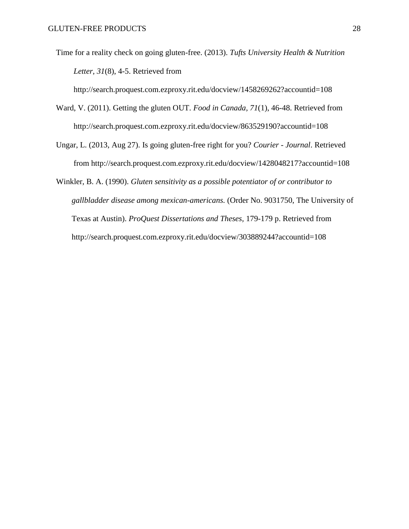Time for a reality check on going gluten-free. (2013). *Tufts University Health & Nutrition Letter, 31*(8), 4-5. Retrieved from

http://search.proquest.com.ezproxy.rit.edu/docview/1458269262?accountid=108

- Ward, V. (2011). Getting the gluten OUT. *Food in Canada, 71*(1), 46-48. Retrieved from http://search.proquest.com.ezproxy.rit.edu/docview/863529190?accountid=108
- Ungar, L. (2013, Aug 27). Is going gluten-free right for you? *Courier - Journal*. Retrieved from http://search.proquest.com.ezproxy.rit.edu/docview/1428048217?accountid=108

 Winkler, B. A. (1990). *Gluten sensitivity as a possible potentiator of or contributor to gallbladder disease among mexican-americans.* (Order No. 9031750, The University of Texas at Austin). *ProQuest Dissertations and Theses,* 179-179 p. Retrieved from http://search.proquest.com.ezproxy.rit.edu/docview/303889244?accountid=108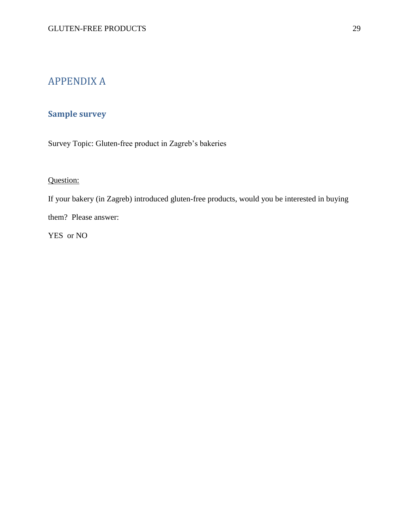## <span id="page-29-0"></span>APPENDIX A

## <span id="page-29-1"></span>**Sample survey**

Survey Topic: Gluten-free product in Zagreb's bakeries

### Question:

If your bakery (in Zagreb) introduced gluten-free products, would you be interested in buying

them? Please answer:

YES or NO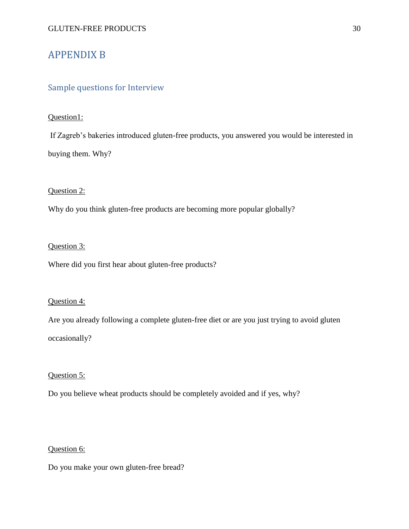## <span id="page-30-0"></span>APPENDIX B

#### <span id="page-30-1"></span>Sample questions for Interview

#### Question1:

If Zagreb's bakeries introduced gluten-free products, you answered you would be interested in buying them. Why?

#### Question 2:

Why do you think gluten-free products are becoming more popular globally?

#### Question 3:

Where did you first hear about gluten-free products?

#### Question 4:

Are you already following a complete gluten-free diet or are you just trying to avoid gluten occasionally?

#### Question 5:

Do you believe wheat products should be completely avoided and if yes, why?

#### Question 6:

Do you make your own gluten-free bread?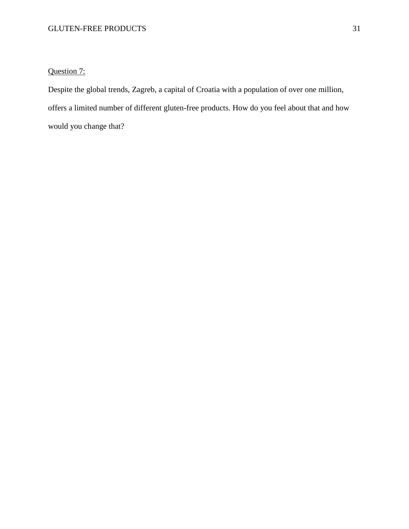### Question 7:

Despite the global trends, Zagreb, a capital of Croatia with a population of over one million, offers a limited number of different gluten-free products. How do you feel about that and how would you change that?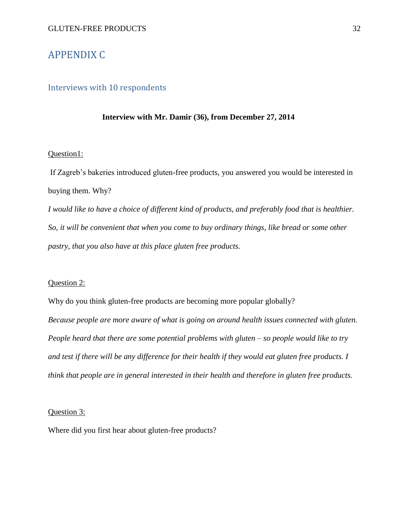## <span id="page-32-0"></span>APPENDIX C

#### <span id="page-32-1"></span>Interviews with 10 respondents

#### **Interview with Mr. Damir (36), from December 27, 2014**

#### Question1:

If Zagreb's bakeries introduced gluten-free products, you answered you would be interested in buying them. Why?

*I would like to have a choice of different kind of products, and preferably food that is healthier. So, it will be convenient that when you come to buy ordinary things, like bread or some other pastry, that you also have at this place gluten free products.* 

#### Question 2:

Why do you think gluten-free products are becoming more popular globally? *Because people are more aware of what is going on around health issues connected with gluten. People heard that there are some potential problems with gluten – so people would like to try and test if there will be any difference for their health if they would eat gluten free products. I think that people are in general interested in their health and therefore in gluten free products.*

#### Question 3:

Where did you first hear about gluten-free products?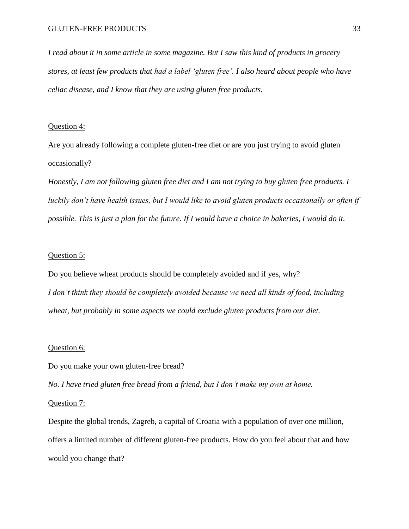*I read about it in some article in some magazine. But I saw this kind of products in grocery stores, at least few products that had a label 'gluten free'. I also heard about people who have celiac disease, and I know that they are using gluten free products.* 

#### Question 4:

Are you already following a complete gluten-free diet or are you just trying to avoid gluten occasionally?

*Honestly, I am not following gluten free diet and I am not trying to buy gluten free products. I luckily don't have health issues, but I would like to avoid gluten products occasionally or often if possible. This is just a plan for the future. If I would have a choice in bakeries, I would do it.* 

#### Question 5:

Do you believe wheat products should be completely avoided and if yes, why? *I don't think they should be completely avoided because we need all kinds of food, including wheat, but probably in some aspects we could exclude gluten products from our diet.* 

#### Question 6:

Do you make your own gluten-free bread?

*No. I have tried gluten free bread from a friend, but I don't make my own at home.* 

#### Question 7:

Despite the global trends, Zagreb, a capital of Croatia with a population of over one million, offers a limited number of different gluten-free products. How do you feel about that and how would you change that?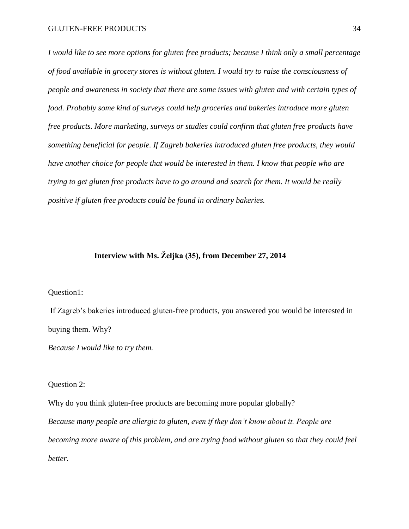*I would like to see more options for gluten free products; because I think only a small percentage of food available in grocery stores is without gluten. I would try to raise the consciousness of people and awareness in society that there are some issues with gluten and with certain types of food. Probably some kind of surveys could help groceries and bakeries introduce more gluten free products. More marketing, surveys or studies could confirm that gluten free products have something beneficial for people. If Zagreb bakeries introduced gluten free products, they would have another choice for people that would be interested in them. I know that people who are trying to get gluten free products have to go around and search for them. It would be really positive if gluten free products could be found in ordinary bakeries.* 

#### **Interview with Ms. Željka (35), from December 27, 2014**

#### Question1:

If Zagreb's bakeries introduced gluten-free products, you answered you would be interested in buying them. Why?

*Because I would like to try them.* 

#### Question 2:

Why do you think gluten-free products are becoming more popular globally? *Because many people are allergic to gluten, even if they don't know about it. People are becoming more aware of this problem, and are trying food without gluten so that they could feel better.*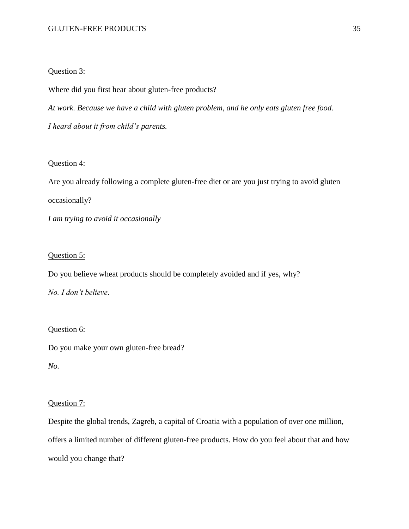#### Question 3:

Where did you first hear about gluten-free products?

*At work. Because we have a child with gluten problem, and he only eats gluten free food.* 

*I heard about it from child's parents.* 

#### Question 4:

Are you already following a complete gluten-free diet or are you just trying to avoid gluten occasionally? *I am trying to avoid it occasionally*

#### Question 5:

Do you believe wheat products should be completely avoided and if yes, why?

*No. I don't believe.*

#### Question 6:

Do you make your own gluten-free bread?

*No.* 

#### Question 7:

Despite the global trends, Zagreb, a capital of Croatia with a population of over one million, offers a limited number of different gluten-free products. How do you feel about that and how would you change that?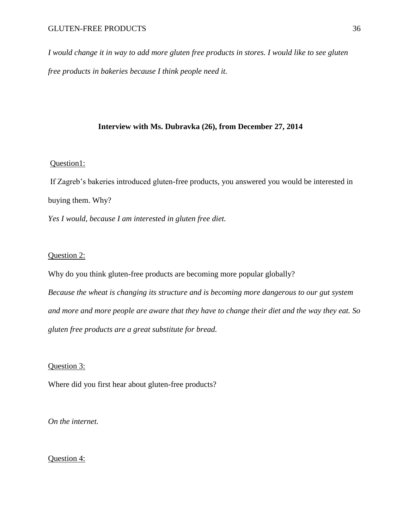*I would change it in way to add more gluten free products in stores. I would like to see gluten free products in bakeries because I think people need it.* 

#### **Interview with Ms. Dubravka (26), from December 27, 2014**

#### Question1:

If Zagreb's bakeries introduced gluten-free products, you answered you would be interested in buying them. Why?

*Yes I would, because I am interested in gluten free diet.*

#### Question 2:

Why do you think gluten-free products are becoming more popular globally? *Because the wheat is changing its structure and is becoming more dangerous to our gut system and more and more people are aware that they have to change their diet and the way they eat. So gluten free products are a great substitute for bread.*

#### Question 3:

Where did you first hear about gluten-free products?

*On the internet.* 

#### Question 4: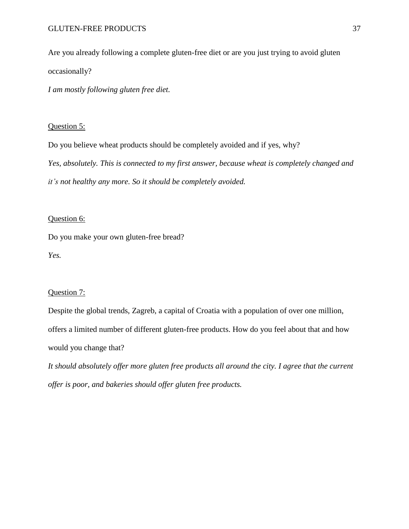Are you already following a complete gluten-free diet or are you just trying to avoid gluten occasionally?

*I am mostly following gluten free diet.* 

#### Question 5:

Do you believe wheat products should be completely avoided and if yes, why? *Yes, absolutely. This is connected to my first answer, because wheat is completely changed and it's not healthy any more. So it should be completely avoided.* 

#### Question 6:

Do you make your own gluten-free bread? *Yes.* 

#### Question 7:

Despite the global trends, Zagreb, a capital of Croatia with a population of over one million, offers a limited number of different gluten-free products. How do you feel about that and how would you change that?

*It should absolutely offer more gluten free products all around the city. I agree that the current offer is poor, and bakeries should offer gluten free products.*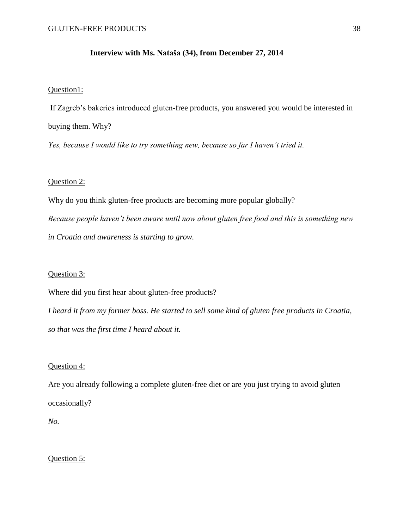#### **Interview with Ms. Nataša (34), from December 27, 2014**

#### Question1:

If Zagreb's bakeries introduced gluten-free products, you answered you would be interested in buying them. Why?

*Yes, because I would like to try something new, because so far I haven't tried it.* 

#### Question 2:

Why do you think gluten-free products are becoming more popular globally? *Because people haven't been aware until now about gluten free food and this is something new in Croatia and awareness is starting to grow.* 

#### Question 3:

Where did you first hear about gluten-free products?

*I heard it from my former boss. He started to sell some kind of gluten free products in Croatia, so that was the first time I heard about it.* 

#### Question 4:

Are you already following a complete gluten-free diet or are you just trying to avoid gluten occasionally?

*No.* 

#### Question 5: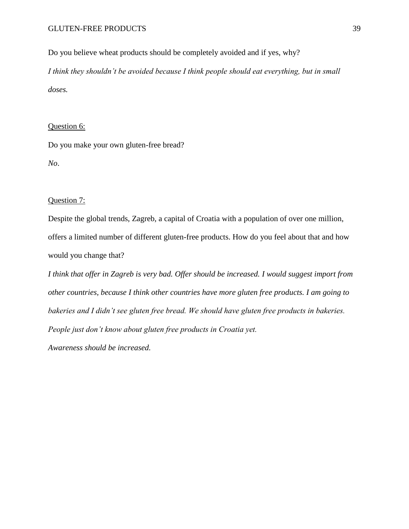Do you believe wheat products should be completely avoided and if yes, why? *I think they shouldn't be avoided because I think people should eat everything, but in small doses.* 

#### Question 6:

Do you make your own gluten-free bread? *No*.

#### Question 7:

Despite the global trends, Zagreb, a capital of Croatia with a population of over one million, offers a limited number of different gluten-free products. How do you feel about that and how would you change that?

*I think that offer in Zagreb is very bad. Offer should be increased. I would suggest import from other countries, because I think other countries have more gluten free products. I am going to bakeries and I didn't see gluten free bread. We should have gluten free products in bakeries. People just don't know about gluten free products in Croatia yet.*

*Awareness should be increased.*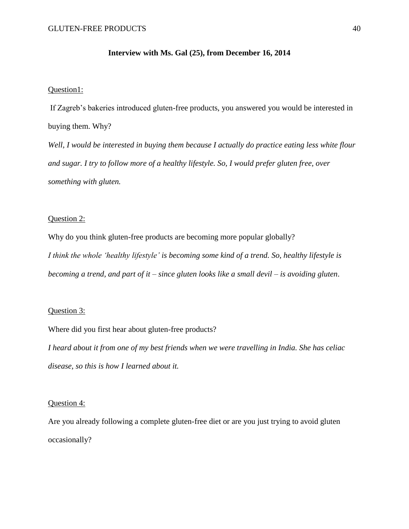#### **Interview with Ms. Gal (25), from December 16, 2014**

#### Question1:

If Zagreb's bakeries introduced gluten-free products, you answered you would be interested in buying them. Why?

*Well, I would be interested in buying them because I actually do practice eating less white flour and sugar. I try to follow more of a healthy lifestyle. So, I would prefer gluten free, over something with gluten.* 

#### Question 2:

Why do you think gluten-free products are becoming more popular globally? *I think the whole 'healthy lifestyle' is becoming some kind of a trend. So, healthy lifestyle is becoming a trend, and part of it – since gluten looks like a small devil – is avoiding gluten*.

#### Question 3:

Where did you first hear about gluten-free products?

*I heard about it from one of my best friends when we were travelling in India. She has celiac disease, so this is how I learned about it.* 

#### Question 4:

Are you already following a complete gluten-free diet or are you just trying to avoid gluten occasionally?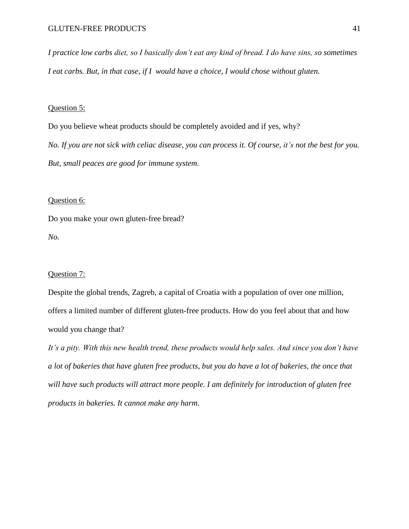*I practice low carbs diet, so I basically don't eat any kind of bread. I do have sins, so sometimes I eat carbs. But, in that case, if I would have a choice, I would chose without gluten.* 

#### Question 5:

Do you believe wheat products should be completely avoided and if yes, why? *No. If you are not sick with celiac disease, you can process it. Of course, it's not the best for you. But, small peaces are good for immune system.* 

#### Question 6:

Do you make your own gluten-free bread? *No.* 

#### Question 7:

Despite the global trends, Zagreb, a capital of Croatia with a population of over one million, offers a limited number of different gluten-free products. How do you feel about that and how would you change that?

*It's a pity. With this new health trend, these products would help sales. And since you don't have a lot of bakeries that have gluten free products, but you do have a lot of bakeries, the once that will have such products will attract more people. I am definitely for introduction of gluten free products in bakeries. It cannot make any harm.*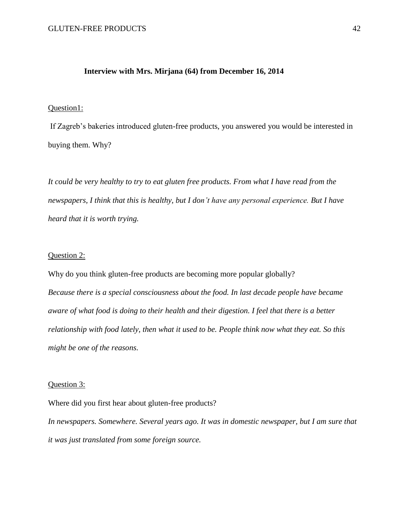#### **Interview with Mrs. Mirjana (64) from December 16, 2014**

#### Question1:

If Zagreb's bakeries introduced gluten-free products, you answered you would be interested in buying them. Why?

*It could be very healthy to try to eat gluten free products. From what I have read from the newspapers, I think that this is healthy, but I don't have any personal experience. But I have heard that it is worth trying.*

#### Question 2:

Why do you think gluten-free products are becoming more popular globally? *Because there is a special consciousness about the food. In last decade people have became aware of what food is doing to their health and their digestion. I feel that there is a better relationship with food lately, then what it used to be. People think now what they eat. So this might be one of the reasons.* 

#### Question 3:

Where did you first hear about gluten-free products?

*In newspapers. Somewhere. Several years ago. It was in domestic newspaper, but I am sure that it was just translated from some foreign source.*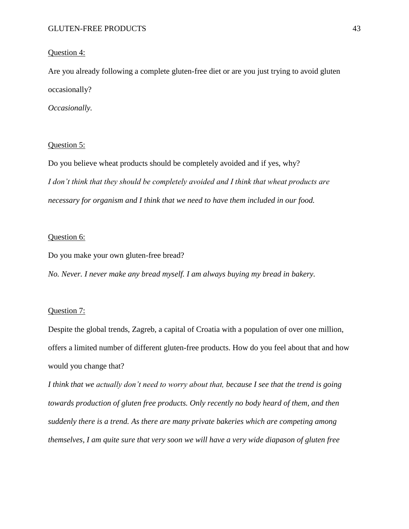#### Question 4:

Are you already following a complete gluten-free diet or are you just trying to avoid gluten occasionally?

*Occasionally.* 

#### Question 5:

Do you believe wheat products should be completely avoided and if yes, why? *I don't think that they should be completely avoided and I think that wheat products are necessary for organism and I think that we need to have them included in our food.* 

#### Question 6:

Do you make your own gluten-free bread?

*No. Never. I never make any bread myself. I am always buying my bread in bakery.*

#### Question 7:

Despite the global trends, Zagreb, a capital of Croatia with a population of over one million, offers a limited number of different gluten-free products. How do you feel about that and how would you change that?

*I think that we actually don't need to worry about that, because I see that the trend is going towards production of gluten free products. Only recently no body heard of them, and then suddenly there is a trend. As there are many private bakeries which are competing among themselves, I am quite sure that very soon we will have a very wide diapason of gluten free*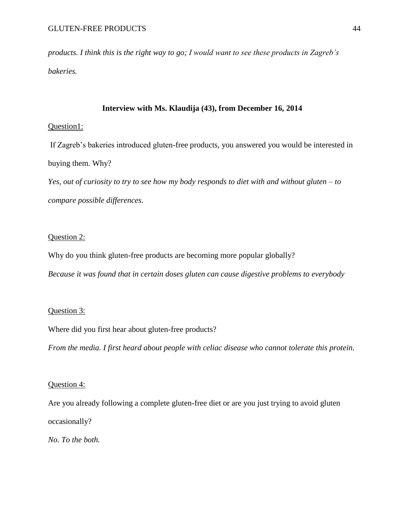*products. I think this is the right way to go; I would want to see these products in Zagreb's bakeries.*

#### **Interview with Ms. Klaudija (43), from December 16, 2014**

#### Question1:

If Zagreb's bakeries introduced gluten-free products, you answered you would be interested in buying them. Why?

*Yes, out of curiosity to try to see how my body responds to diet with and without gluten – to compare possible differences.*

#### Question 2:

Why do you think gluten-free products are becoming more popular globally? *Because it was found that in certain doses gluten can cause digestive problems to everybody*

#### Question 3:

Where did you first hear about gluten-free products?

*From the media. I first heard about people with celiac disease who cannot tolerate this protein.* 

#### Question 4:

Are you already following a complete gluten-free diet or are you just trying to avoid gluten occasionally?

*No. To the both.*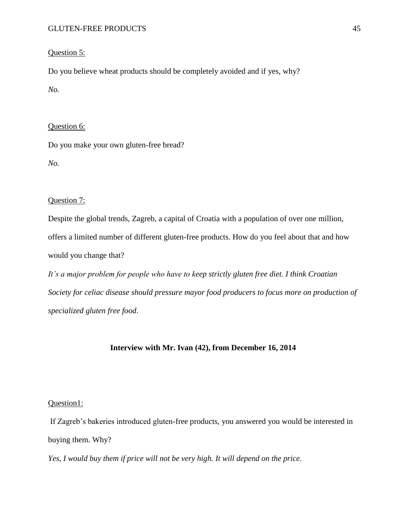#### Question 5:

Do you believe wheat products should be completely avoided and if yes, why? *No.* 

#### Question 6:

Do you make your own gluten-free bread?

*No.* 

#### Question 7:

Despite the global trends, Zagreb, a capital of Croatia with a population of over one million, offers a limited number of different gluten-free products. How do you feel about that and how would you change that?

*It's a major problem for people who have to keep strictly gluten free diet. I think Croatian Society for celiac disease should pressure mayor food producers to focus more on production of specialized gluten free food*.

#### **Interview with Mr. Ivan (42), from December 16, 2014**

#### Question1:

If Zagreb's bakeries introduced gluten-free products, you answered you would be interested in buying them. Why?

*Yes, I would buy them if price will not be very high. It will depend on the price.*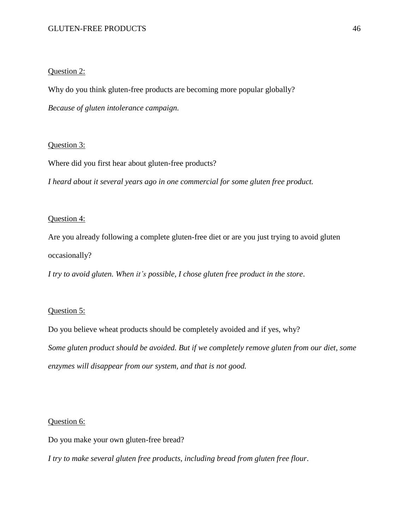#### Question 2:

Why do you think gluten-free products are becoming more popular globally?

*Because of gluten intolerance campaign.*

#### Question 3:

Where did you first hear about gluten-free products?

*I heard about it several years ago in one commercial for some gluten free product.*

#### Question 4:

Are you already following a complete gluten-free diet or are you just trying to avoid gluten occasionally?

*I try to avoid gluten. When it's possible, I chose gluten free product in the store*.

#### Question 5:

Do you believe wheat products should be completely avoided and if yes, why? *Some gluten product should be avoided. But if we completely remove gluten from our diet, some enzymes will disappear from our system, and that is not good.* 

#### Question 6:

Do you make your own gluten-free bread?

*I try to make several gluten free products, including bread from gluten free flour*.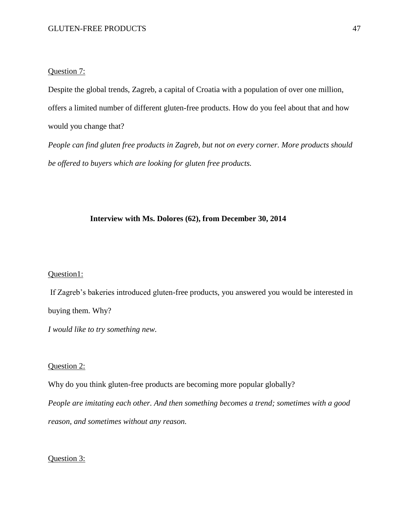#### Question 7:

Despite the global trends, Zagreb, a capital of Croatia with a population of over one million, offers a limited number of different gluten-free products. How do you feel about that and how would you change that?

*People can find gluten free products in Zagreb, but not on every corner. More products should be offered to buyers which are looking for gluten free products.* 

#### **Interview with Ms. Dolores (62), from December 30, 2014**

#### Question1:

If Zagreb's bakeries introduced gluten-free products, you answered you would be interested in buying them. Why?

*I would like to try something new.* 

#### Question 2:

Why do you think gluten-free products are becoming more popular globally?

*People are imitating each other. And then something becomes a trend; sometimes with a good reason, and sometimes without any reason.*

Question 3: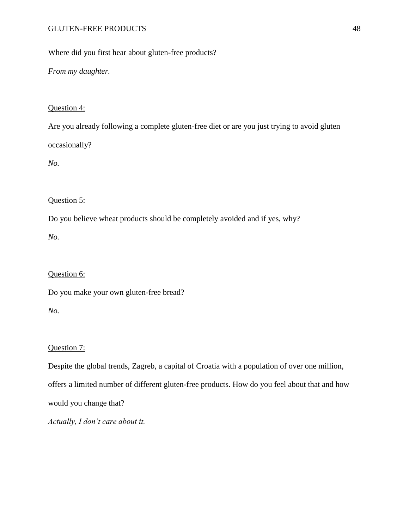Where did you first hear about gluten-free products?

*From my daughter.* 

#### Question 4:

Are you already following a complete gluten-free diet or are you just trying to avoid gluten occasionally?

*No.* 

#### Question 5:

Do you believe wheat products should be completely avoided and if yes, why?

*No.* 

#### Question 6:

Do you make your own gluten-free bread?

*No.* 

#### Question 7:

Despite the global trends, Zagreb, a capital of Croatia with a population of over one million, offers a limited number of different gluten-free products. How do you feel about that and how would you change that?

*Actually, I don't care about it.*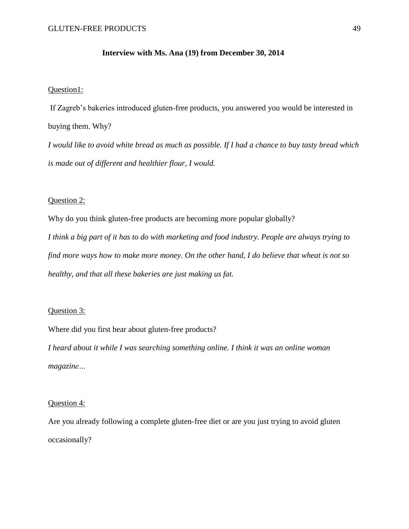#### **Interview with Ms. Ana (19) from December 30, 2014**

#### Question1:

If Zagreb's bakeries introduced gluten-free products, you answered you would be interested in buying them. Why?

*I would like to avoid white bread as much as possible. If I had a chance to buy tasty bread which is made out of different and healthier flour, I would.* 

#### Question 2:

Why do you think gluten-free products are becoming more popular globally? *I think a big part of it has to do with marketing and food industry. People are always trying to find more ways how to make more money. On the other hand, I do believe that wheat is not so healthy, and that all these bakeries are just making us fat.* 

#### Question 3:

Where did you first hear about gluten-free products?

*I heard about it while I was searching something online. I think it was an online woman magazine…*

#### Question 4:

Are you already following a complete gluten-free diet or are you just trying to avoid gluten occasionally?